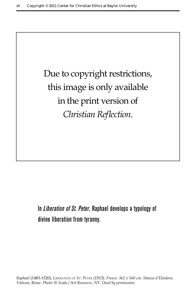Due to copyright restrictions, this image is only available in the print version of *Christian Reflection*.

In *Liberation of St. Peter*, Raphael develops a typology of divine liberation from tyranny.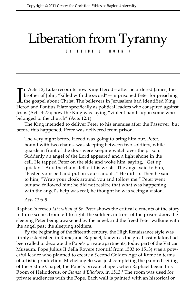## Liberation from Tyranny

BY HEIDI J. HORNIK

In Acts 12, Luke recounts how King Herod — after he ordered James, the brother of John, "killed with the sword" — imprisoned Peter for preaching the gospel about Christ. The believers in Jerusalem had identified King Herod n Acts 12, Luke recounts how King Herod—after he ordered James, the brother of John, "killed with the sword"—imprisoned Peter for preaching the gospel about Christ. The believers in Jerusalem had identified King Jesus (Acts 4:27); now the King was laying "violent hands upon some who belonged to the church" (Acts 12:1).

The King intended to deliver Peter to his enemies after the Passover, but before this happened, Peter was delivered from prison.

The very night before Herod was going to bring him out, Peter, bound with two chains, was sleeping between two soldiers, while guards in front of the door were keeping watch over the prison. Suddenly an angel of the Lord appeared and a light shone in the cell. He tapped Peter on the side and woke him, saying, "Get up quickly." And the chains fell off his wrists. The angel said to him, "Fasten your belt and put on your sandals." He did so. Then he said to him, "Wrap your cloak around you and follow me." Peter went out and followed him; he did not realize that what was happening with the angel's help was real; he thought he was seeing a vision.

*Acts 12:6-9*

Raphael's fresco *Liberation of St. Peter* shows the critical elements of the story in three scenes from left to right: the soldiers in front of the prison door, the sleeping Peter being awakened by the angel, and the freed Peter walking with the angel past the sleeping soldiers.

By the beginning of the fifteenth century, the High Renaissance style was firmly established in Rome; and Raphael, known as the great assimilator, had been called to decorate the Pope's private apartments, today part of the Vatican Museum. Pope Julius II della Rovere (pontiff from 1503 to 1513) was a powerful leader who planned to create a Second Golden Age of Rome in terms of artistic production. Michelangelo was just completing the painted ceiling of the Sistine Chapel, the Pope's private chapel, when Raphael began this Room of Heliodorus, or *Stanza d'Eliodoro*, in 1513.<sup>1</sup> The room was used for private audiences with the Pope. Each wall is painted with an historical or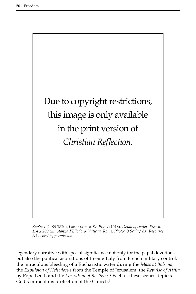

*Raphael* (1483-1520)*, Liberation of St. Peter* (1513). *Detail of center. Fresco. 154 x 200 cm. Stanza d'Eliodoro, Vatican, Rome. Photo: © Scala / Art Resource, NY. Used by permission.*

legendary narrative with special significance not only for the papal devotions, but also the political aspirations of freeing Italy from French military control: the miraculous bleeding of a Eucharistic wafer during the *Mass at Bolsena*, the *Expulsion of Heliodorus* from the Temple of Jerusalem, the *Repulse of Attila* by Pope Leo I, and the *Liberation of St. Peter*. 2 Each of these scenes depicts God's miraculous protection of the Church.<sup>3</sup>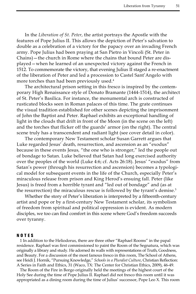In the *Liberation of St. Peter*, the artist portrays the Apostle with the features of Pope Julius II. This allows the depiction of Peter's salvation to double as a celebration of a victory for the papacy over an invading French army. Pope Julius had been praying at San Pietro in Vincoli (St. Peter in Chains)—the church in Rome where the chains that bound Peter are displayed—when he learned of an unexpected victory against the French in 1512. To commemorate the victory, that evening Julius II staged a re-enactment of the liberation of Peter and led a procession to Castel Sant'Angelo with more torches than had been previously used.<sup>4</sup>

The architectural prison setting in this fresco is inspired by the contemporary High Renaissance style of Donato Bramante (1444-1514), the architect of St. Peter's Basilica. For instance, the monumental arch is constructed of rusticated blocks seen in Roman palaces of this time. The grate continues the visual tradition established for other scenes depicting the imprisonment of John the Baptist and Peter. Raphael exhibits an exceptional handling of light in the clouds that drift in front of the Moon (in the scene on the left) and the torches that flicker off the guards' armor (on the right). The central scene truly has a transcendent and radiant light (see cover detail in color).

The contemporary New Testament scholar Susan Garrett argues that Luke regarded Jesus' death, resurrection, and ascension as an "exodus" because in these events Jesus*,* "the one who is stronger," led the people out of bondage to Satan. Luke believed that Satan had long exercised authority over the peoples of the world (Luke 4:6; cf. Acts 26:18). Jesus' "exodus" from Satan's power (through his resurrection and ascension) becomes a typological model for subsequent events in the life of the Church, especially Peter's miraculous release from prison and King Herod's ensuing fall. Peter (like Jesus) is freed from a horrible tyrant and "led out of bondage" and (as at the resurrection) the miraculous rescue is followed by the tyrant's demise.<sup>5</sup>

Whether the story of Peter's liberation is interpreted by a fifteenth-century artist and pope or by a first-century New Testament scholar, its symbolism of freedom from spiritual and political oppression is evident. As modern disciples, we too can find comfort in this scene where God's freedom succeeds over tyranny.

## NOTEs

1 In addition to the Heliodorus, there are three other "Raphael Rooms" in the papal residence. Raphael was first commissioned to paint the Room of the Segnatura, which was originally a library and study. He adorned its walls with representations of Truth, Goodness, and Beauty. For a discussion of the most famous fresco in this room, The School of Athens, see Heidi J. Hornik, "Pursuing Knowledge," *Schools in a Pluralist Culture*, Christian Reflection: A Series in Faith and Ethics, 31 (Waco, TX: The Center for Christian Ethics, 2009), 46-49.

The Room of the Fire in Borgo originally held the meetings of the highest court of the Holy See during the time of Pope Julius II. Raphael did not fresco this room until it was appropriated as a dining room during the time of Julius' successor, Pope Leo X. This room